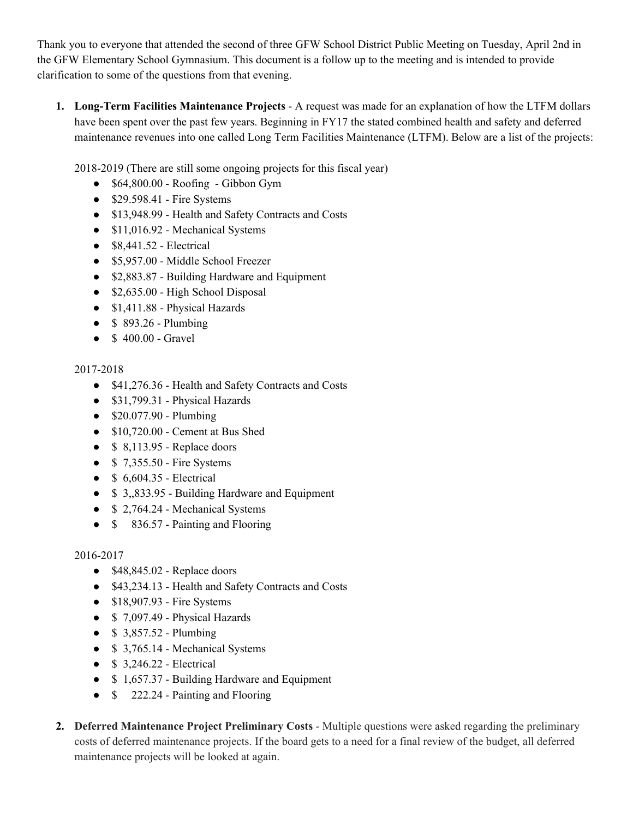Thank you to everyone that attended the second of three GFW School District Public Meeting on Tuesday, April 2nd in the GFW Elementary School Gymnasium. This document is a follow up to the meeting and is intended to provide clarification to some of the questions from that evening.

**1. Long-Term Facilities Maintenance Projects** - A request was made for an explanation of how the LTFM dollars have been spent over the past few years. Beginning in FY17 the stated combined health and safety and deferred maintenance revenues into one called Long Term Facilities Maintenance (LTFM). Below are a list of the projects:

2018-2019 (There are still some ongoing projects for this fiscal year)

- $\bullet$  \$64,800.00 Roofing Gibbon Gym
- \$29.598.41 Fire Systems
- \$13,948.99 Health and Safety Contracts and Costs
- \$11,016.92 Mechanical Systems
- $\bullet$  \$8,441.52 Electrical
- \$5,957.00 Middle School Freezer
- \$2,883.87 Building Hardware and Equipment
- $\bullet$  \$2,635.00 High School Disposal
- \$1,411.88 Physical Hazards
- \$ 893.26 Plumbing
- $\bullet$  \$ 400.00 Gravel

## 2017-2018

- \$41,276.36 Health and Safety Contracts and Costs
- \$31,799.31 Physical Hazards
- $\bullet$  \$20.077.90 Plumbing
- \$10,720.00 Cement at Bus Shed
- $\bullet$  \$ 8,113.95 Replace doors
- \$ 7,355.50 Fire Systems
- $\bullet$  \$ 6,604.35 Electrical
- \$ 3,,833.95 Building Hardware and Equipment
- \$ 2,764.24 Mechanical Systems
- $$836.57$  Painting and Flooring

## 2016-2017

- $\bullet$  \$48,845.02 Replace doors
- \$43,234.13 Health and Safety Contracts and Costs
- \$18,907.93 Fire Systems
- \$7,097.49 Physical Hazards
- $$3,857.52$  Plumbing
- \$ 3,765.14 Mechanical Systems
- $\bullet$  \$ 3,246.22 Electrical
- $$ 1,657.37$  Building Hardware and Equipment
- \$ 222.24 Painting and Flooring
- **2. Deferred Maintenance Project Preliminary Costs** Multiple questions were asked regarding the preliminary costs of deferred maintenance projects. If the board gets to a need for a final review of the budget, all deferred maintenance projects will be looked at again.